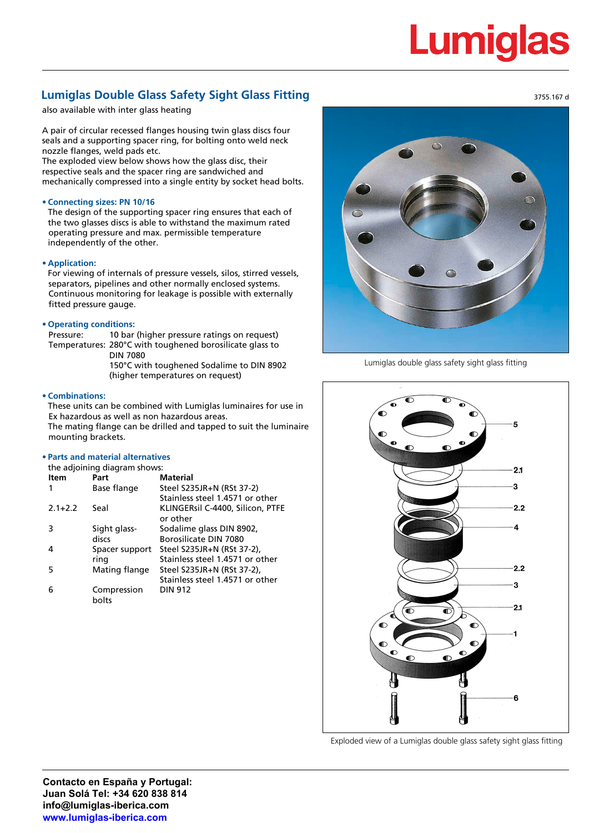# Lumidia

# **Lumiglas Double Glass Safety Sight Glass Fitting**

also available with inter glass heating

A pair of circular recessed flanges housing twin glass discs four seals and a supporting spacer ring, for bolting onto weld neck nozzle flanges, weld pads etc.

The exploded view below shows how the glass disc, their respective seals and the spacer ring are sandwiched and mechanically compressed into a single entity by socket head bolts.

## **• Connecting sizes: PN 10/16**

The design of the supporting spacer ring ensures that each of the two glasses discs is able to withstand the maximum rated operating pressure and max. permissible temperature independently of the other.

#### **• Application:**

For viewing of internals of pressure vessels, silos, stirred vessels, separators, pipelines and other normally enclosed systems. Continuous monitoring for leakage is possible with externally fitted pressure gauge.

### **• Operating conditions:**

Pressure: 10 bar (higher pressure ratings on request) Temperatures: 280°C with toughened borosilicate glass to DIN 7080 150°C with toughened Sodalime to DIN 8902 (higher temperatures on request)

#### **• Combinations:**

These units can be combined with Lumiglas luminaires for use in Ex hazardous as well as non hazardous areas. The mating flange can be drilled and tapped to suit the luminaire mounting brackets.

#### **• Parts and material alternatives**

the adjoining diagram shows: **Item Part Material**  1 Base flange Steel S235JR+N (RSt 37-2) Stainless steel 1.4571 or other 2.1+2.2 Seal KLINGERsil C-4400, Silicon, PTFE or other 3 Sight glass- Sodalime glass DIN 8902, discs Borosilicate DIN 7080 4 Spacer support Steel S235JR+N (RSt 37-2), ring Stainless steel 1.4571 or other 5 Mating flange Steel S235JR+N (RSt 37-2), Stainless steel 1.4571 or other 6 Compression DIN 912 bolts



Lumiglas double glass safety sight glass fitting



Exploded view of a Lumiglas double glass safety sight glass fitting

3755.167 d